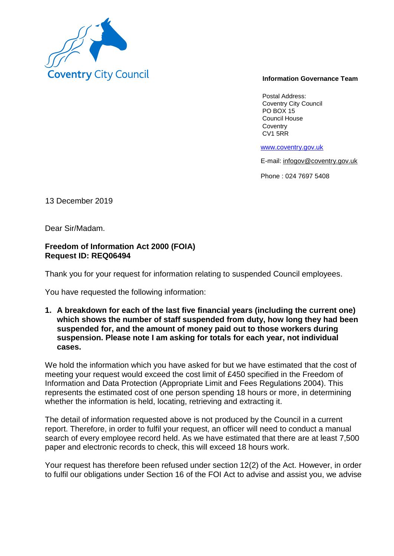

## **Information Governance Team**

Postal Address: Coventry City Council PO BOX 15 Council House **Coventry** CV1 5RR

www.coventry.gov.uk

E-mail: infogov@coventry.gov.uk

Phone : 024 7697 5408

13 December 2019

Dear Sir/Madam.

## **Freedom of Information Act 2000 (FOIA) Request ID: REQ06494**

Thank you for your request for information relating to suspended Council employees.

You have requested the following information:

**1. A breakdown for each of the last five financial years (including the current one) which shows the number of staff suspended from duty, how long they had been suspended for, and the amount of money paid out to those workers during suspension. Please note I am asking for totals for each year, not individual cases.**

We hold the information which you have asked for but we have estimated that the cost of meeting your request would exceed the cost limit of £450 specified in the Freedom of Information and Data Protection (Appropriate Limit and Fees Regulations 2004). This represents the estimated cost of one person spending 18 hours or more, in determining whether the information is held, locating, retrieving and extracting it.

The detail of information requested above is not produced by the Council in a current report. Therefore, in order to fulfil your request, an officer will need to conduct a manual search of every employee record held. As we have estimated that there are at least 7,500 paper and electronic records to check, this will exceed 18 hours work.

Your request has therefore been refused under section 12(2) of the Act. However, in order to fulfil our obligations under Section 16 of the FOI Act to advise and assist you, we advise